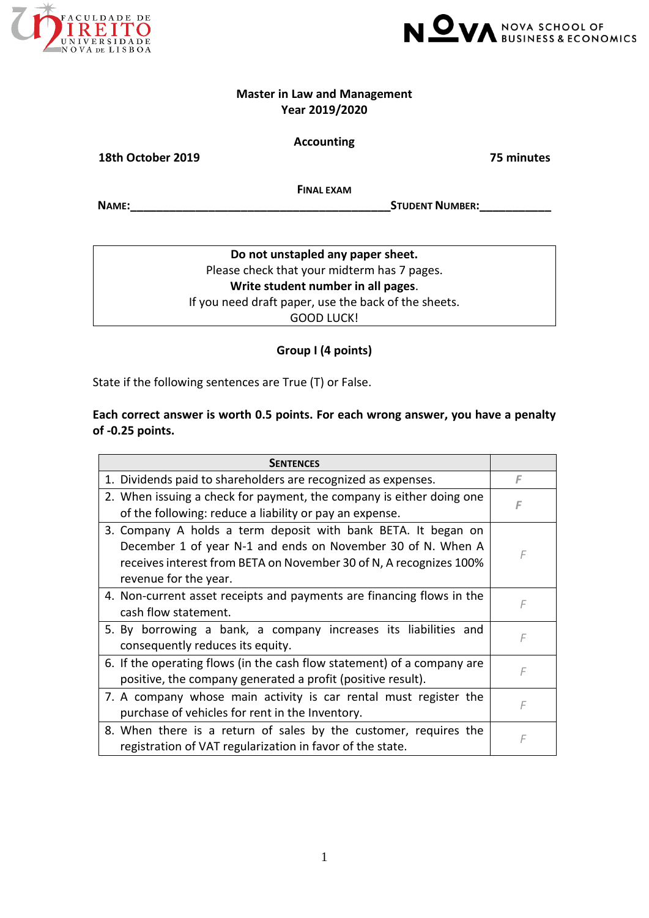



### **Master in Law and Management Year 2019/2020**

### **Accounting**

**18th October 2019 75 minutes**

**FINAL EXAM**

**NAME:\_\_\_\_\_\_\_\_\_\_\_\_\_\_\_\_\_\_\_\_\_\_\_\_\_\_\_\_\_\_\_\_\_\_\_\_\_\_\_\_STUDENT NUMBER:\_\_\_\_\_\_\_\_\_\_\_**

**Do not unstapled any paper sheet.** Please check that your midterm has 7 pages. **Write student number in all pages**. If you need draft paper, use the back of the sheets. GOOD LUCK!

## **Group I (4 points)**

State if the following sentences are True (T) or False.

## **Each correct answer is worth 0.5 points. For each wrong answer, you have a penalty of ‐0.25 points.**

| <b>SENTENCES</b>                                                                                                                                                                                                            |   |
|-----------------------------------------------------------------------------------------------------------------------------------------------------------------------------------------------------------------------------|---|
| 1. Dividends paid to shareholders are recognized as expenses.                                                                                                                                                               | F |
| 2. When issuing a check for payment, the company is either doing one<br>of the following: reduce a liability or pay an expense.                                                                                             | F |
| 3. Company A holds a term deposit with bank BETA. It began on<br>December 1 of year N-1 and ends on November 30 of N. When A<br>receives interest from BETA on November 30 of N, A recognizes 100%<br>revenue for the year. | F |
| 4. Non-current asset receipts and payments are financing flows in the<br>cash flow statement.                                                                                                                               | F |
| 5. By borrowing a bank, a company increases its liabilities and<br>consequently reduces its equity.                                                                                                                         | F |
| 6. If the operating flows (in the cash flow statement) of a company are<br>positive, the company generated a profit (positive result).                                                                                      | F |
| 7. A company whose main activity is car rental must register the<br>purchase of vehicles for rent in the Inventory.                                                                                                         | F |
| 8. When there is a return of sales by the customer, requires the<br>registration of VAT regularization in favor of the state.                                                                                               | F |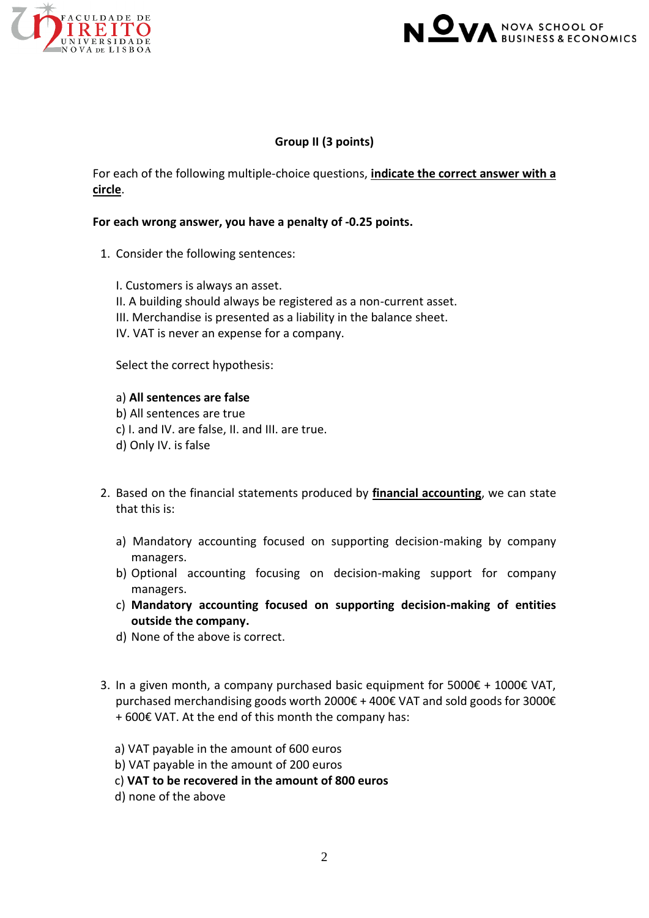



### **Group II (3 points)**

For each of the following multiple‐choice questions, **indicate the correct answer with a circle**.

### **For each wrong answer, you have a penalty of ‐0.25 points.**

- 1. Consider the following sentences:
	- I. Customers is always an asset.
	- II. A building should always be registered as a non-current asset.
	- III. Merchandise is presented as a liability in the balance sheet.
	- IV. VAT is never an expense for a company.

Select the correct hypothesis:

#### a) **All sentences are false**

- b) All sentences are true
- c) I. and IV. are false, II. and III. are true.
- d) Only IV. is false
- 2. Based on the financial statements produced by **financial accounting**, we can state that this is:
	- a) Mandatory accounting focused on supporting decision-making by company managers.
	- b) Optional accounting focusing on decision-making support for company managers.
	- c) **Mandatory accounting focused on supporting decision-making of entities outside the company.**
	- d) None of the above is correct.
- 3. In a given month, a company purchased basic equipment for  $5000€ + 1000€$  VAT, purchased merchandising goods worth 2000€ + 400€ VAT and sold goods for 3000€ + 600€ VAT. At the end of this month the company has:
	- a) VAT payable in the amount of 600 euros
	- b) VAT payable in the amount of 200 euros
	- c) **VAT to be recovered in the amount of 800 euros**
	- d) none of the above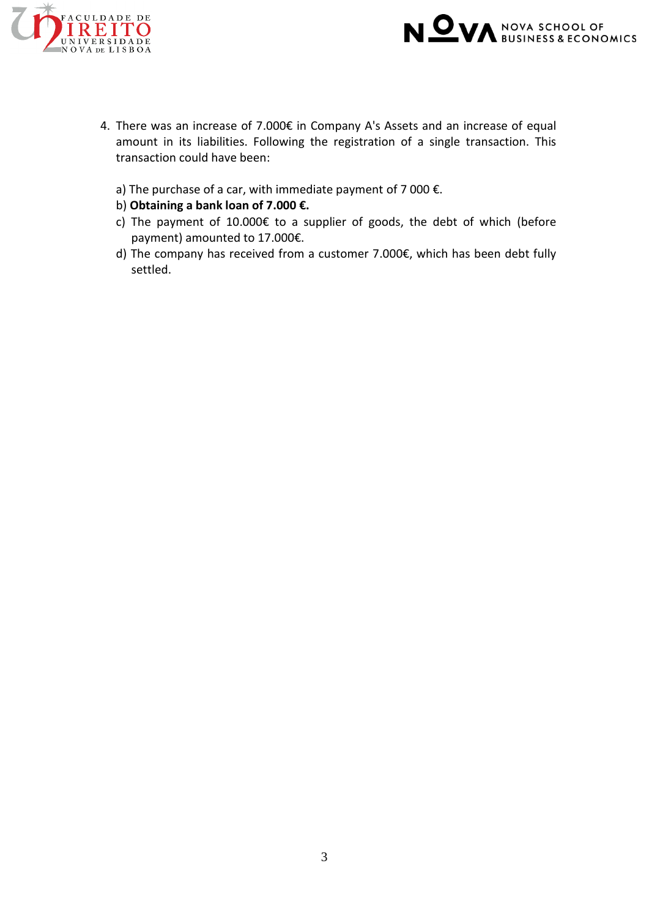



- 4. There was an increase of 7.000€ in Company A's Assets and an increase of equal amount in its liabilities. Following the registration of a single transaction. This transaction could have been:
	- a) The purchase of a car, with immediate payment of 7 000  $\epsilon$ .
	- b) **Obtaining a bank loan of 7.000 €.**
	- c) The payment of 10.000 $\epsilon$  to a supplier of goods, the debt of which (before payment) amounted to 17.000€.
	- d) The company has received from a customer 7.000€, which has been debt fully settled.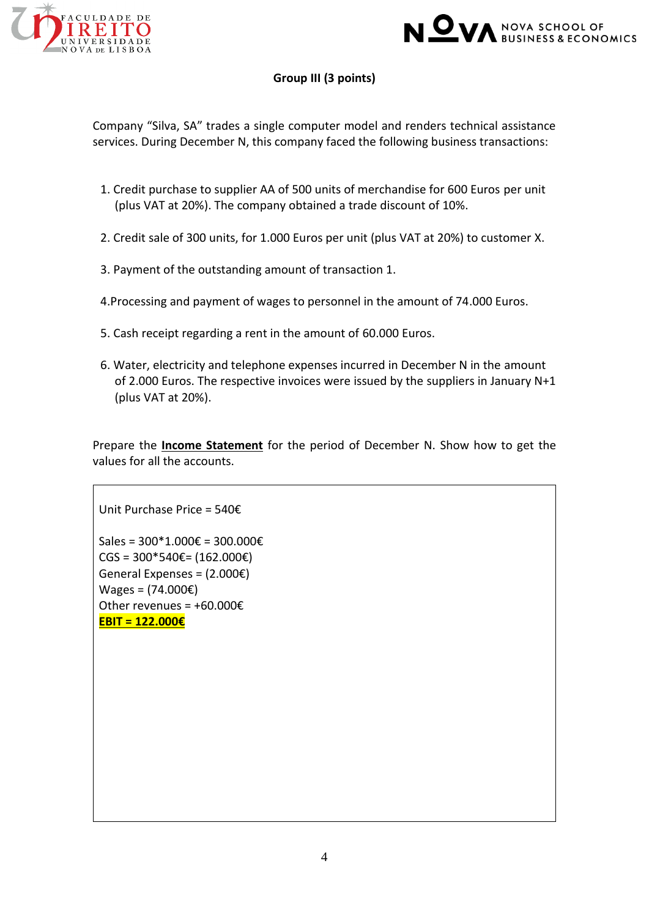



# **Group III (3 points)**

Company "Silva, SA" trades a single computer model and renders technical assistance services. During December N, this company faced the following business transactions:

- 1. Credit purchase to supplier AA of 500 units of merchandise for 600 Euros per unit (plus VAT at 20%). The company obtained a trade discount of 10%.
- 2. Credit sale of 300 units, for 1.000 Euros per unit (plus VAT at 20%) to customer X.
- 3. Payment of the outstanding amount of transaction 1.
- 4.Processing and payment of wages to personnel in the amount of 74.000 Euros.
- 5. Cash receipt regarding a rent in the amount of 60.000 Euros.
- 6. Water, electricity and telephone expenses incurred in December N in the amount of 2.000 Euros. The respective invoices were issued by the suppliers in January N+1 (plus VAT at 20%).

Prepare the **Income Statement** for the period of December N. Show how to get the values for all the accounts.

Unit Purchase Price = 540€ Sales = 300\*1.000€ = 300.000€ CGS =  $300*540€$  =  $(162.000€)$ General Expenses = (2.000€)  $Wages = (74.000€)$ Other revenues = +60.000€ **EBIT = 122.000€**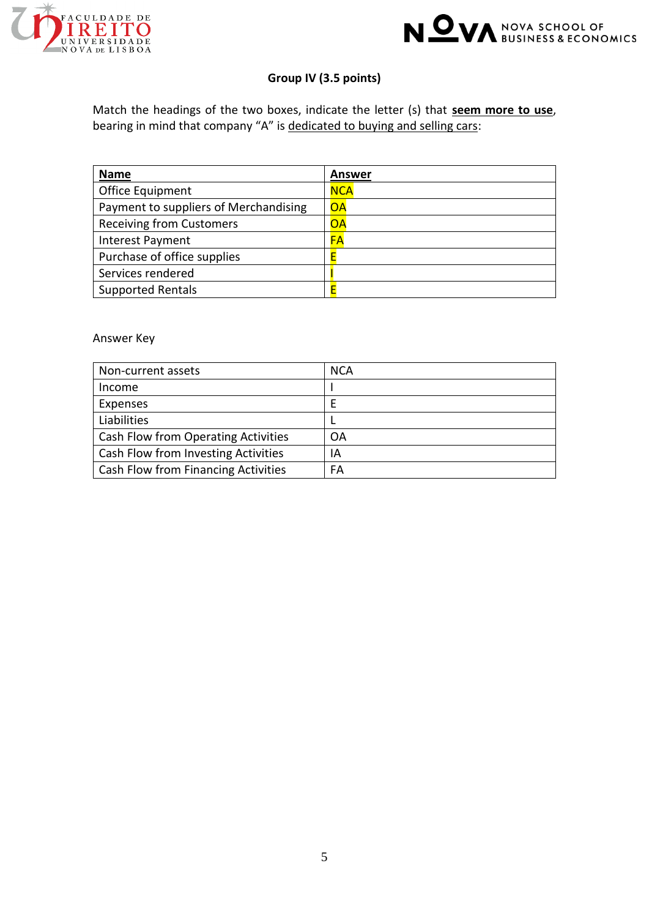



# **Group IV (3.5 points)**

Match the headings of the two boxes, indicate the letter (s) that **seem more to use**, bearing in mind that company "A" is dedicated to buying and selling cars:

| <b>Name</b>                           | Answer     |
|---------------------------------------|------------|
| Office Equipment                      | <b>NCA</b> |
| Payment to suppliers of Merchandising | <b>OA</b>  |
| <b>Receiving from Customers</b>       | <b>OA</b>  |
| Interest Payment                      | <b>FA</b>  |
| Purchase of office supplies           | E          |
| Services rendered                     |            |
| <b>Supported Rentals</b>              | E          |

#### Answer Key

| Non-current assets                  | <b>NCA</b> |
|-------------------------------------|------------|
| Income                              |            |
| Expenses                            | Е          |
| Liabilities                         |            |
| Cash Flow from Operating Activities | OA         |
| Cash Flow from Investing Activities | ΙA         |
| Cash Flow from Financing Activities | FA         |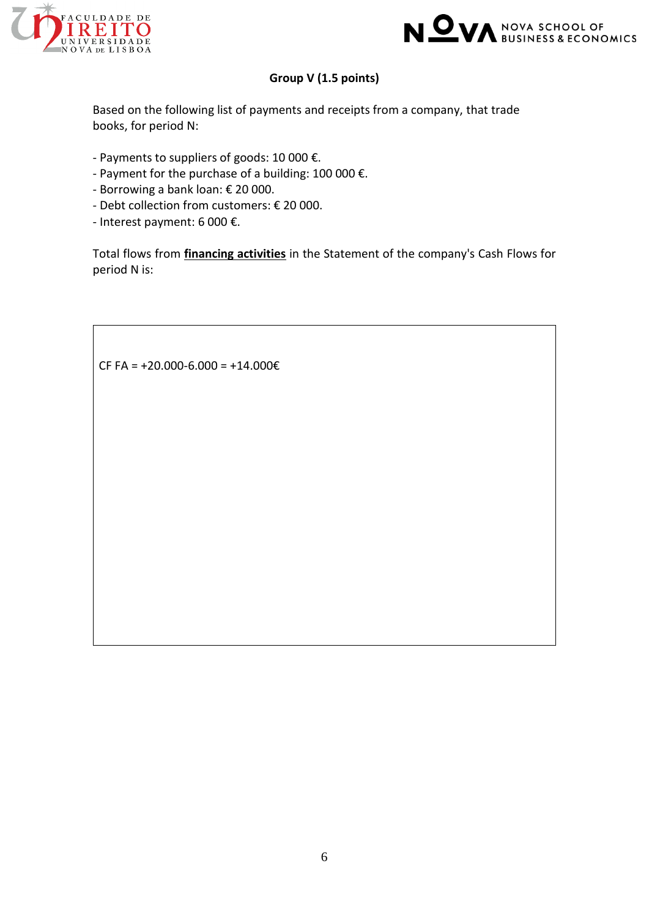



# **Group V (1.5 points)**

Based on the following list of payments and receipts from a company, that trade books, for period N:

- Payments to suppliers of goods: 10 000 €.
- Payment for the purchase of a building: 100 000 €.
- Borrowing a bank loan: € 20 000.
- Debt collection from customers: € 20 000.
- Interest payment: 6 000 €.

Total flows from **financing activities** in the Statement of the company's Cash Flows for period N is:

CF FA =  $+20.000 - 6.000 = +14.000 \text{€}$